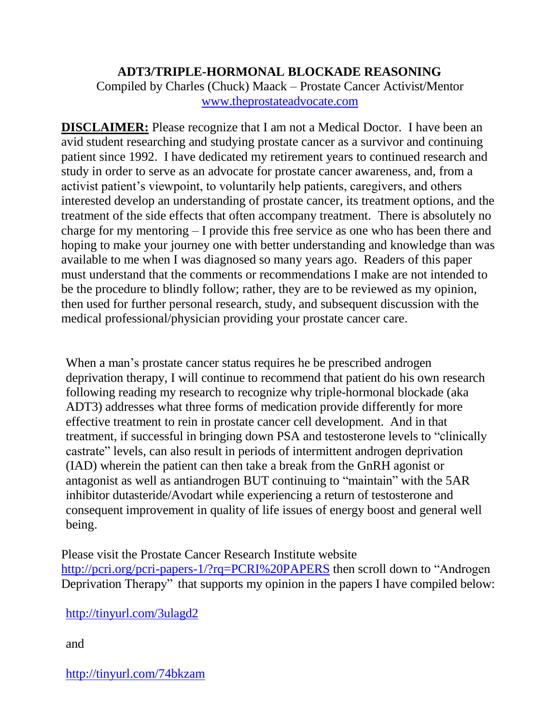## **ADT3/TRIPLE-HORMONAL BLOCKADE REASONING**

Compiled by Charles (Chuck) Maack – Prostate Cancer Activist/Mentor [www.theprostateadvocate.com](http://www.theprostateadvocate.com/)

**DISCLAIMER:** Please recognize that I am not a Medical Doctor. I have been an avid student researching and studying prostate cancer as a survivor and continuing patient since 1992. I have dedicated my retirement years to continued research and study in order to serve as an advocate for prostate cancer awareness, and, from a activist patient's viewpoint, to voluntarily help patients, caregivers, and others interested develop an understanding of prostate cancer, its treatment options, and the treatment of the side effects that often accompany treatment. There is absolutely no charge for my mentoring – I provide this free service as one who has been there and hoping to make your journey one with better understanding and knowledge than was available to me when I was diagnosed so many years ago. Readers of this paper must understand that the comments or recommendations I make are not intended to be the procedure to blindly follow; rather, they are to be reviewed as my opinion, then used for further personal research, study, and subsequent discussion with the medical professional/physician providing your prostate cancer care.

When a man's prostate cancer status requires he be prescribed androgen deprivation therapy, I will continue to recommend that patient do his own research following reading my research to recognize why triple-hormonal blockade (aka ADT3) addresses what three forms of medication provide differently for more effective treatment to rein in prostate cancer cell development. And in that treatment, if successful in bringing down PSA and testosterone levels to "clinically castrate" levels, can also result in periods of intermittent androgen deprivation (IAD) wherein the patient can then take a break from the GnRH agonist or antagonist as well as antiandrogen BUT continuing to "maintain" with the 5AR inhibitor dutasteride/Avodart while experiencing a return of testosterone and consequent improvement in quality of life issues of energy boost and general well being.

Please visit the Prostate Cancer Research Institute website <http://pcri.org/pcri-papers-1/?rq=PCRI%20PAPERS> then scroll down to "Androgen Deprivation Therapy" that supports my opinion in the papers I have compiled below:

<http://tinyurl.com/3ulagd2>

and